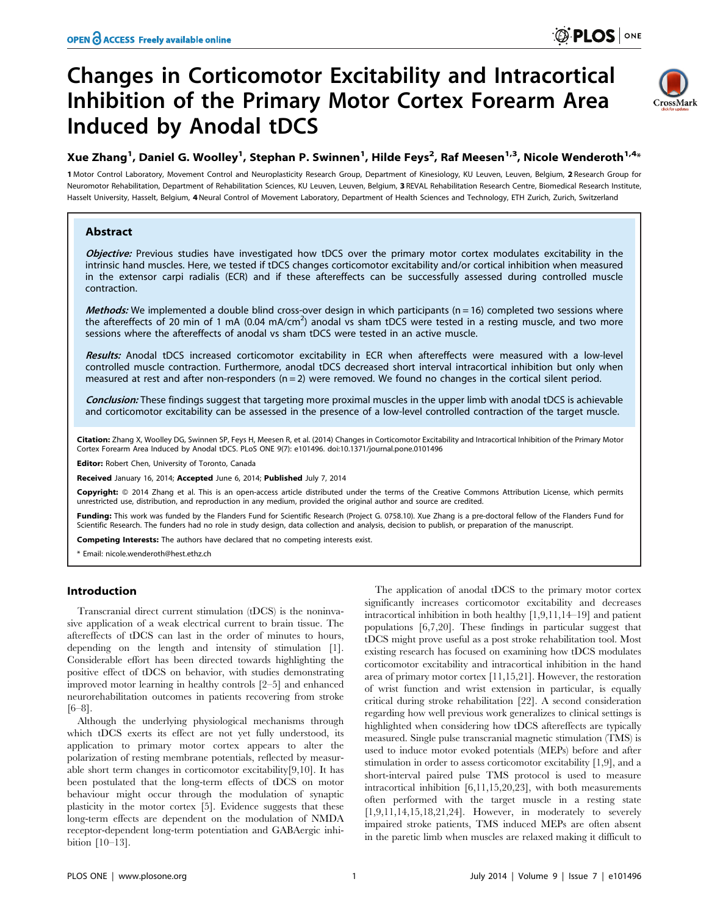# Changes in Corticomotor Excitability and Intracortical Inhibition of the Primary Motor Cortex Forearm Area Induced by Anodal tDCS



# Xue Zhang $^1$ , Daniel G. Woolley $^1$ , Stephan P. Swinnen $^1$ , Hilde Feys $^2$ , Raf Meesen $^{1,3}$ , Nicole Wenderoth $^{1,4_\times}$

1 Motor Control Laboratory, Movement Control and Neuroplasticity Research Group, Department of Kinesiology, KU Leuven, Leuven, Belgium, 2 Research Group for Neuromotor Rehabilitation, Department of Rehabilitation Sciences, KU Leuven, Leuven, Belgium, 3 REVAL Rehabilitation Research Centre, Biomedical Research Institute, Hasselt University, Hasselt, Belgium, 4Neural Control of Movement Laboratory, Department of Health Sciences and Technology, ETH Zurich, Zurich, Switzerland

# Abstract

Objective: Previous studies have investigated how tDCS over the primary motor cortex modulates excitability in the intrinsic hand muscles. Here, we tested if tDCS changes corticomotor excitability and/or cortical inhibition when measured in the extensor carpi radialis (ECR) and if these aftereffects can be successfully assessed during controlled muscle contraction.

*Methods:* We implemented a double blind cross-over design in which participants ( $n = 16$ ) completed two sessions where the aftereffects of 20 min of 1 mA (0.04 mA/cm<sup>2</sup>) anodal vs sham tDCS were tested in a resting muscle, and two more sessions where the aftereffects of anodal vs sham tDCS were tested in an active muscle.

Results: Anodal tDCS increased corticomotor excitability in ECR when aftereffects were measured with a low-level controlled muscle contraction. Furthermore, anodal tDCS decreased short interval intracortical inhibition but only when measured at rest and after non-responders ( $n = 2$ ) were removed. We found no changes in the cortical silent period.

Conclusion: These findings suggest that targeting more proximal muscles in the upper limb with anodal tDCS is achievable and corticomotor excitability can be assessed in the presence of a low-level controlled contraction of the target muscle.

Citation: Zhang X, Woolley DG, Swinnen SP, Feys H, Meesen R, et al. (2014) Changes in Corticomotor Excitability and Intracortical Inhibition of the Primary Motor Cortex Forearm Area Induced by Anodal tDCS. PLoS ONE 9(7): e101496. doi:10.1371/journal.pone.0101496

Editor: Robert Chen, University of Toronto, Canada

Received January 16, 2014; Accepted June 6, 2014; Published July 7, 2014

**Copyright:** © 2014 Zhang et al. This is an open-access article distributed under the terms of the [Creative Commons Attribution License](http://creativecommons.org/licenses/by/4.0/), which permits unrestricted use, distribution, and reproduction in any medium, provided the original author and source are credited.

Funding: This work was funded by the Flanders Fund for Scientific Research (Project G. 0758.10). Xue Zhang is a pre-doctoral fellow of the Flanders Fund for Scientific Research. The funders had no role in study design, data collection and analysis, decision to publish, or preparation of the manuscript.

Competing Interests: The authors have declared that no competing interests exist.

\* Email: nicole.wenderoth@hest.ethz.ch

# Introduction

Transcranial direct current stimulation (tDCS) is the noninvasive application of a weak electrical current to brain tissue. The aftereffects of tDCS can last in the order of minutes to hours, depending on the length and intensity of stimulation [1]. Considerable effort has been directed towards highlighting the positive effect of tDCS on behavior, with studies demonstrating improved motor learning in healthy controls [2–5] and enhanced neurorehabilitation outcomes in patients recovering from stroke [6–8].

Although the underlying physiological mechanisms through which tDCS exerts its effect are not yet fully understood, its application to primary motor cortex appears to alter the polarization of resting membrane potentials, reflected by measurable short term changes in corticomotor excitability[9,10]. It has been postulated that the long-term effects of tDCS on motor behaviour might occur through the modulation of synaptic plasticity in the motor cortex [5]. Evidence suggests that these long-term effects are dependent on the modulation of NMDA receptor-dependent long-term potentiation and GABAergic inhibition [10–13].

The application of anodal tDCS to the primary motor cortex significantly increases corticomotor excitability and decreases intracortical inhibition in both healthy [1,9,11,14–19] and patient populations [6,7,20]. These findings in particular suggest that tDCS might prove useful as a post stroke rehabilitation tool. Most existing research has focused on examining how tDCS modulates corticomotor excitability and intracortical inhibition in the hand area of primary motor cortex [11,15,21]. However, the restoration of wrist function and wrist extension in particular, is equally critical during stroke rehabilitation [22]. A second consideration regarding how well previous work generalizes to clinical settings is highlighted when considering how tDCS aftereffects are typically measured. Single pulse transcranial magnetic stimulation (TMS) is used to induce motor evoked potentials (MEPs) before and after stimulation in order to assess corticomotor excitability [1,9], and a short-interval paired pulse TMS protocol is used to measure intracortical inhibition [6,11,15,20,23], with both measurements often performed with the target muscle in a resting state [1,9,11,14,15,18,21,24]. However, in moderately to severely impaired stroke patients, TMS induced MEPs are often absent in the paretic limb when muscles are relaxed making it difficult to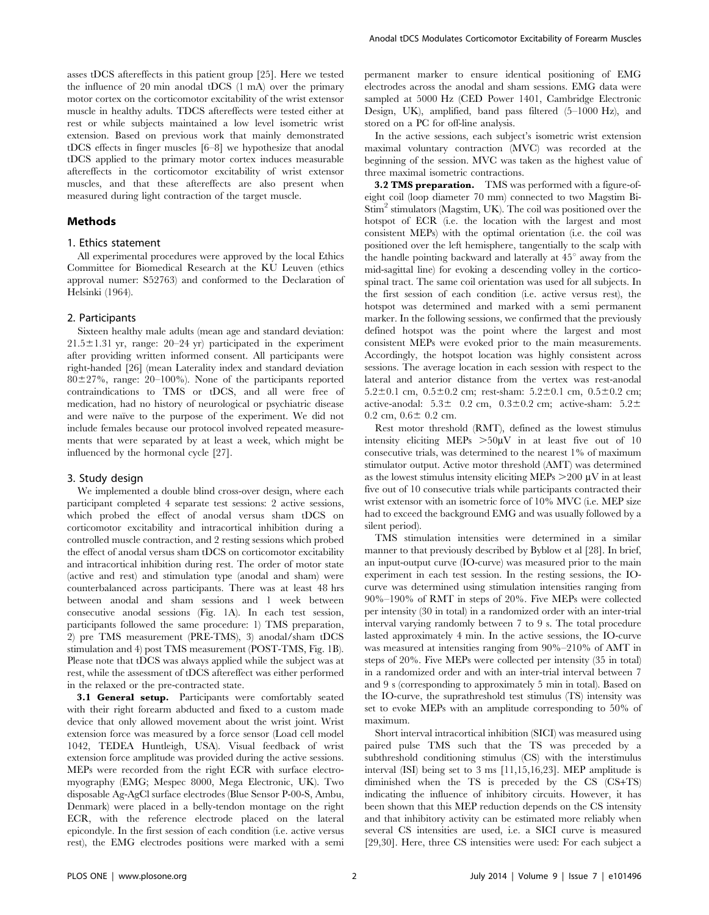asses tDCS aftereffects in this patient group [25]. Here we tested the influence of 20 min anodal tDCS (1 mA) over the primary motor cortex on the corticomotor excitability of the wrist extensor muscle in healthy adults. TDCS aftereffects were tested either at rest or while subjects maintained a low level isometric wrist extension. Based on previous work that mainly demonstrated tDCS effects in finger muscles [6–8] we hypothesize that anodal tDCS applied to the primary motor cortex induces measurable aftereffects in the corticomotor excitability of wrist extensor muscles, and that these aftereffects are also present when measured during light contraction of the target muscle.

## Methods

#### 1. Ethics statement

All experimental procedures were approved by the local Ethics Committee for Biomedical Research at the KU Leuven (ethics approval numer: S52763) and conformed to the Declaration of Helsinki (1964).

#### 2. Participants

Sixteen healthy male adults (mean age and standard deviation:  $21.5 \pm 1.31$  yr, range:  $20-24$  yr) participated in the experiment after providing written informed consent. All participants were right-handed [26] (mean Laterality index and standard deviation  $80\pm27\%$ , range:  $20-100\%$ ). None of the participants reported contraindications to TMS or tDCS, and all were free of medication, had no history of neurological or psychiatric disease and were naïve to the purpose of the experiment. We did not include females because our protocol involved repeated measurements that were separated by at least a week, which might be influenced by the hormonal cycle [27].

# 3. Study design

We implemented a double blind cross-over design, where each participant completed 4 separate test sessions: 2 active sessions, which probed the effect of anodal versus sham tDCS on corticomotor excitability and intracortical inhibition during a controlled muscle contraction, and 2 resting sessions which probed the effect of anodal versus sham tDCS on corticomotor excitability and intracortical inhibition during rest. The order of motor state (active and rest) and stimulation type (anodal and sham) were counterbalanced across participants. There was at least 48 hrs between anodal and sham sessions and 1 week between consecutive anodal sessions (Fig. 1A). In each test session, participants followed the same procedure: 1) TMS preparation, 2) pre TMS measurement (PRE-TMS), 3) anodal/sham tDCS stimulation and 4) post TMS measurement (POST-TMS, Fig. 1B). Please note that tDCS was always applied while the subject was at rest, while the assessment of tDCS aftereffect was either performed in the relaxed or the pre-contracted state.

**3.1 General setup.** Participants were comfortably seated with their right forearm abducted and fixed to a custom made device that only allowed movement about the wrist joint. Wrist extension force was measured by a force sensor (Load cell model 1042, TEDEA Huntleigh, USA). Visual feedback of wrist extension force amplitude was provided during the active sessions. MEPs were recorded from the right ECR with surface electromyography (EMG; Mespec 8000, Mega Electronic, UK). Two disposable Ag-AgCl surface electrodes (Blue Sensor P-00-S, Ambu, Denmark) were placed in a belly-tendon montage on the right ECR, with the reference electrode placed on the lateral epicondyle. In the first session of each condition (i.e. active versus rest), the EMG electrodes positions were marked with a semi permanent marker to ensure identical positioning of EMG electrodes across the anodal and sham sessions. EMG data were sampled at 5000 Hz (CED Power 1401, Cambridge Electronic Design, UK), amplified, band pass filtered (5–1000 Hz), and stored on a PC for off-line analysis.

In the active sessions, each subject's isometric wrist extension maximal voluntary contraction (MVC) was recorded at the beginning of the session. MVC was taken as the highest value of three maximal isometric contractions.

**3.2 TMS preparation.** TMS was performed with a figure-ofeight coil (loop diameter 70 mm) connected to two Magstim Bi-Stim<sup>2</sup> stimulators (Magstim, UK). The coil was positioned over the hotspot of ECR (i.e. the location with the largest and most consistent MEPs) with the optimal orientation (i.e. the coil was positioned over the left hemisphere, tangentially to the scalp with the handle pointing backward and laterally at  $45^{\circ}$  away from the mid-sagittal line) for evoking a descending volley in the corticospinal tract. The same coil orientation was used for all subjects. In the first session of each condition (i.e. active versus rest), the hotspot was determined and marked with a semi permanent marker. In the following sessions, we confirmed that the previously defined hotspot was the point where the largest and most consistent MEPs were evoked prior to the main measurements. Accordingly, the hotspot location was highly consistent across sessions. The average location in each session with respect to the lateral and anterior distance from the vertex was rest-anodal 5.2 $\pm$ 0.1 cm, 0.5 $\pm$ 0.2 cm; rest-sham: 5.2 $\pm$ 0.1 cm, 0.5 $\pm$ 0.2 cm; active-anodal:  $5.3\pm$  0.2 cm,  $0.3\pm0.2$  cm; active-sham:  $5.2\pm$  $0.2$  cm,  $0.6 \pm 0.2$  cm.

Rest motor threshold (RMT), defined as the lowest stimulus intensity eliciting MEPs  $>50\mu\text{V}$  in at least five out of 10 consecutive trials, was determined to the nearest 1% of maximum stimulator output. Active motor threshold (AMT) was determined as the lowest stimulus intensity eliciting MEPs  $>$  200  $\mu$ V in at least five out of 10 consecutive trials while participants contracted their wrist extensor with an isometric force of 10% MVC (i.e. MEP size had to exceed the background EMG and was usually followed by a silent period).

TMS stimulation intensities were determined in a similar manner to that previously described by Byblow et al [28]. In brief, an input-output curve (IO-curve) was measured prior to the main experiment in each test session. In the resting sessions, the IOcurve was determined using stimulation intensities ranging from 90%–190% of RMT in steps of 20%. Five MEPs were collected per intensity (30 in total) in a randomized order with an inter-trial interval varying randomly between 7 to 9 s. The total procedure lasted approximately 4 min. In the active sessions, the IO-curve was measured at intensities ranging from 90%–210% of AMT in steps of 20%. Five MEPs were collected per intensity (35 in total) in a randomized order and with an inter-trial interval between 7 and 9 s (corresponding to approximately 5 min in total). Based on the IO-curve, the suprathreshold test stimulus (TS) intensity was set to evoke MEPs with an amplitude corresponding to 50% of maximum.

Short interval intracortical inhibition (SICI) was measured using paired pulse TMS such that the TS was preceded by a subthreshold conditioning stimulus (CS) with the interstimulus interval (ISI) being set to 3 ms [11,15,16,23]. MEP amplitude is diminished when the TS is preceded by the CS (CS+TS) indicating the influence of inhibitory circuits. However, it has been shown that this MEP reduction depends on the CS intensity and that inhibitory activity can be estimated more reliably when several CS intensities are used, i.e. a SICI curve is measured [29,30]. Here, three CS intensities were used: For each subject a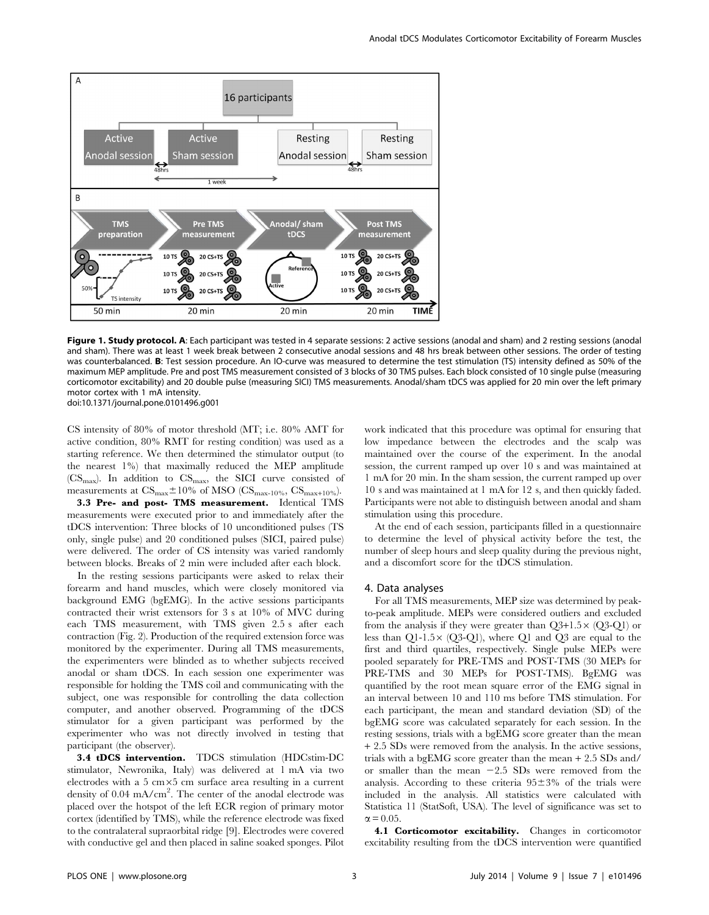

Figure 1. Study protocol. A: Each participant was tested in 4 separate sessions: 2 active sessions (anodal and sham) and 2 resting sessions (anodal and sham). There was at least 1 week break between 2 consecutive anodal sessions and 48 hrs break between other sessions. The order of testing was counterbalanced. B: Test session procedure. An IO-curve was measured to determine the test stimulation (TS) intensity defined as 50% of the maximum MEP amplitude. Pre and post TMS measurement consisted of 3 blocks of 30 TMS pulses. Each block consisted of 10 single pulse (measuring corticomotor excitability) and 20 double pulse (measuring SICI) TMS measurements. Anodal/sham tDCS was applied for 20 min over the left primary motor cortex with 1 mA intensity. doi:10.1371/journal.pone.0101496.g001

CS intensity of 80% of motor threshold (MT; i.e. 80% AMT for active condition, 80% RMT for resting condition) was used as a starting reference. We then determined the stimulator output (to the nearest 1%) that maximally reduced the MEP amplitude  $(CS<sub>max</sub>)$ . In addition to  $CS<sub>max</sub>$ , the SICI curve consisted of measurements at  $CS_{\text{max}} \pm 10\%$  of MSO ( $CS_{\text{max-10}}$ %,  $CS_{\text{max+10}}$ %).

3.3 Pre- and post- TMS measurement. Identical TMS measurements were executed prior to and immediately after the tDCS intervention: Three blocks of 10 unconditioned pulses (TS only, single pulse) and 20 conditioned pulses (SICI, paired pulse) were delivered. The order of CS intensity was varied randomly between blocks. Breaks of 2 min were included after each block.

In the resting sessions participants were asked to relax their forearm and hand muscles, which were closely monitored via background EMG (bgEMG). In the active sessions participants contracted their wrist extensors for 3 s at 10% of MVC during each TMS measurement, with TMS given 2.5 s after each contraction (Fig. 2). Production of the required extension force was monitored by the experimenter. During all TMS measurements, the experimenters were blinded as to whether subjects received anodal or sham tDCS. In each session one experimenter was responsible for holding the TMS coil and communicating with the subject, one was responsible for controlling the data collection computer, and another observed. Programming of the tDCS stimulator for a given participant was performed by the experimenter who was not directly involved in testing that participant (the observer).

3.4 tDCS intervention. TDCS stimulation (HDCstim-DC stimulator, Newronika, Italy) was delivered at 1 mA via two electrodes with a  $5 \text{ cm} \times 5 \text{ cm}$  surface area resulting in a current density of 0.04 mA/cm<sup>2</sup>. The center of the anodal electrode was placed over the hotspot of the left ECR region of primary motor cortex (identified by TMS), while the reference electrode was fixed to the contralateral supraorbital ridge [9]. Electrodes were covered with conductive gel and then placed in saline soaked sponges. Pilot work indicated that this procedure was optimal for ensuring that low impedance between the electrodes and the scalp was maintained over the course of the experiment. In the anodal session, the current ramped up over 10 s and was maintained at 1 mA for 20 min. In the sham session, the current ramped up over 10 s and was maintained at 1 mA for 12 s, and then quickly faded. Participants were not able to distinguish between anodal and sham stimulation using this procedure.

At the end of each session, participants filled in a questionnaire to determine the level of physical activity before the test, the number of sleep hours and sleep quality during the previous night, and a discomfort score for the tDCS stimulation.

#### 4. Data analyses

For all TMS measurements, MEP size was determined by peakto-peak amplitude. MEPs were considered outliers and excluded from the analysis if they were greater than  $Q3+1.5\times (Q3-Q1)$  or less than  $Q1-1.5\times (Q3-Q1)$ , where  $Q1$  and  $Q3$  are equal to the first and third quartiles, respectively. Single pulse MEPs were pooled separately for PRE-TMS and POST-TMS (30 MEPs for PRE-TMS and 30 MEPs for POST-TMS). BgEMG was quantified by the root mean square error of the EMG signal in an interval between 10 and 110 ms before TMS stimulation. For each participant, the mean and standard deviation (SD) of the bgEMG score was calculated separately for each session. In the resting sessions, trials with a bgEMG score greater than the mean + 2.5 SDs were removed from the analysis. In the active sessions, trials with a bgEMG score greater than the mean + 2.5 SDs and/ or smaller than the mean  $-2.5$  SDs were removed from the analysis. According to these criteria  $95\pm3\%$  of the trials were included in the analysis. All statistics were calculated with Statistica 11 (StatSoft, USA). The level of significance was set to  $\alpha$  = 0.05.

4.1 Corticomotor excitability. Changes in corticomotor excitability resulting from the tDCS intervention were quantified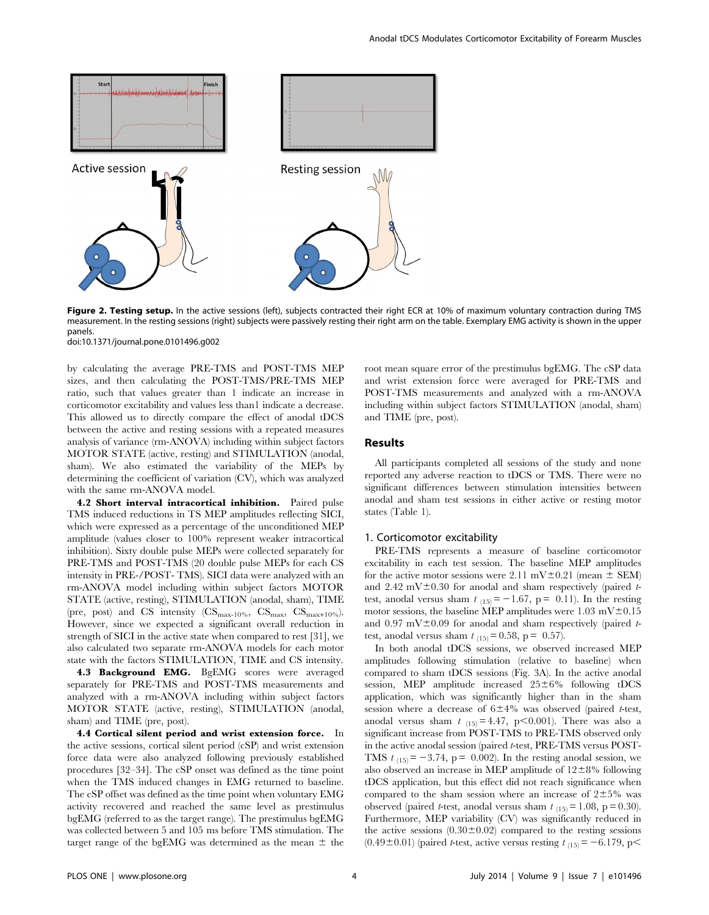

Figure 2. Testing setup. In the active sessions (left), subjects contracted their right ECR at 10% of maximum voluntary contraction during TMS measurement. In the resting sessions (right) subjects were passively resting their right arm on the table. Exemplary EMG activity is shown in the upper panels.

doi:10.1371/journal.pone.0101496.g002

by calculating the average PRE-TMS and POST-TMS MEP sizes, and then calculating the POST-TMS/PRE-TMS MEP ratio, such that values greater than 1 indicate an increase in corticomotor excitability and values less than1 indicate a decrease. This allowed us to directly compare the effect of anodal tDCS between the active and resting sessions with a repeated measures analysis of variance (rm-ANOVA) including within subject factors MOTOR STATE (active, resting) and STIMULATION (anodal, sham). We also estimated the variability of the MEPs by determining the coefficient of variation (CV), which was analyzed with the same rm-ANOVA model.

4.2 Short interval intracortical inhibition. Paired pulse TMS induced reductions in TS MEP amplitudes reflecting SICI, which were expressed as a percentage of the unconditioned MEP amplitude (values closer to 100% represent weaker intracortical inhibition). Sixty double pulse MEPs were collected separately for PRE-TMS and POST-TMS (20 double pulse MEPs for each CS intensity in PRE-/POST- TMS). SICI data were analyzed with an rm-ANOVA model including within subject factors MOTOR STATE (active, resting), STIMULATION (anodal, sham), TIME (pre, post) and CS intensity  $(\text{CS}_{\text{max}-10\%}, \text{CS}_{\text{max}}, \text{CS}_{\text{max}+10\%}).$ However, since we expected a significant overall reduction in strength of SICI in the active state when compared to rest [31], we also calculated two separate rm-ANOVA models for each motor state with the factors STIMULATION, TIME and CS intensity.

4.3 Background EMG. BgEMG scores were averaged separately for PRE-TMS and POST-TMS measurements and analyzed with a rm-ANOVA including within subject factors MOTOR STATE (active, resting), STIMULATION (anodal, sham) and TIME (pre, post).

4.4 Cortical silent period and wrist extension force. In the active sessions, cortical silent period (cSP) and wrist extension force data were also analyzed following previously established procedures [32–34]. The cSP onset was defined as the time point when the TMS induced changes in EMG returned to baseline. The cSP offset was defined as the time point when voluntary EMG activity recovered and reached the same level as prestimulus bgEMG (referred to as the target range). The prestimulus bgEMG was collected between 5 and 105 ms before TMS stimulation. The target range of the bgEMG was determined as the mean  $\pm$  the

root mean square error of the prestimulus bgEMG. The cSP data and wrist extension force were averaged for PRE-TMS and POST-TMS measurements and analyzed with a rm-ANOVA including within subject factors STIMULATION (anodal, sham) and TIME (pre, post).

# Results

All participants completed all sessions of the study and none reported any adverse reaction to tDCS or TMS. There were no significant differences between stimulation intensities between anodal and sham test sessions in either active or resting motor states (Table 1).

## 1. Corticomotor excitability

PRE-TMS represents a measure of baseline corticomotor excitability in each test session. The baseline MEP amplitudes for the active motor sessions were 2.11 mV $\pm$ 0.21 (mean  $\pm$  SEM) and 2.42 mV $\pm$ 0.30 for anodal and sham respectively (paired ttest, anodal versus sham  $t_{(15)} = -1.67$ , p = 0.11). In the resting motor sessions, the baseline MEP amplitudes were  $1.03 \text{ mV} \pm 0.15$ and 0.97 mV $\pm$ 0.09 for anodal and sham respectively (paired ttest, anodal versus sham  $t_{(15)} = 0.58$ , p = 0.57).

In both anodal tDCS sessions, we observed increased MEP amplitudes following stimulation (relative to baseline) when compared to sham tDCS sessions (Fig. 3A). In the active anodal session, MEP amplitude increased  $25\pm6\%$  following tDCS application, which was significantly higher than in the sham session where a decrease of  $6\pm4\%$  was observed (paired t-test, anodal versus sham  $t_{(15)} = 4.47$ , p $< 0.001$ ). There was also a significant increase from POST-TMS to PRE-TMS observed only in the active anodal session (paired t-test, PRE-TMS versus POST-TMS  $t_{(15)} = -3.74$ , p = 0.002). In the resting anodal session, we also observed an increase in MEP amplitude of  $12\pm8\%$  following tDCS application, but this effect did not reach significance when compared to the sham session where an increase of  $2\pm5\%$  was observed (paired t-test, anodal versus sham  $t_{(15)} = 1.08$ , p = 0.30). Furthermore, MEP variability (CV) was significantly reduced in the active sessions  $(0.30 \pm 0.02)$  compared to the resting sessions  $(0.49\pm0.01)$  (paired *t*-test, active versus resting  $t_{(15)} = -6.179$ , p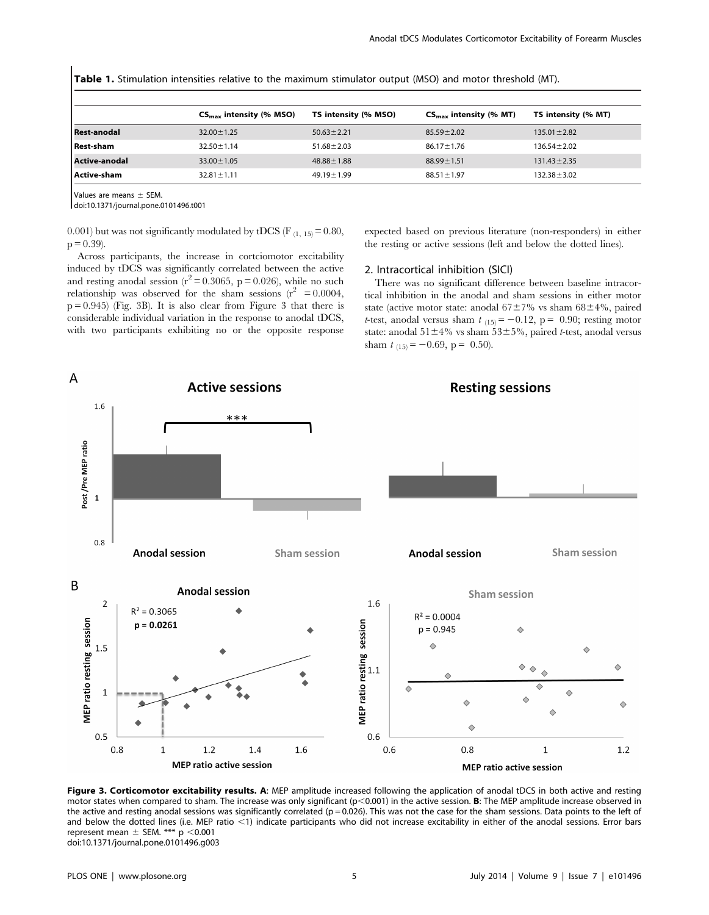Table 1. Stimulation intensities relative to the maximum stimulator output (MSO) and motor threshold (MT).

|                      | $CS_{\text{max}}$ intensity (% MSO) | TS intensity (% MSO) | $CS_{\text{max}}$ intensity (% MT) | TS intensity (% MT) |
|----------------------|-------------------------------------|----------------------|------------------------------------|---------------------|
| <b>Rest-anodal</b>   | $32.00 \pm 1.25$                    | $50.63 \pm 2.21$     | $85.59 \pm 2.02$                   | $135.01 \pm 2.82$   |
| <b>Rest-sham</b>     | $32.50 \pm 1.14$                    | $51.68 \pm 2.03$     | $86.17 \pm 1.76$                   | $136.54 \pm 2.02$   |
| <b>Active-anodal</b> | $33.00 \pm 1.05$                    | $48.88 \pm 1.88$     | $88.99 \pm 1.51$                   | $131.43 \pm 2.35$   |
| Active-sham          | $32.81 \pm 1.11$                    | $49.19 \pm 1.99$     | $88.51 \pm 1.97$                   | $132.38 \pm 3.02$   |
|                      |                                     |                      |                                    |                     |

Values are means  $\pm$  SEM.

doi:10.1371/journal.pone.0101496.t001

0.001) but was not significantly modulated by tDCS (F  $_{(1, 15)} = 0.80$ ,  $p = 0.39$ ).

Across participants, the increase in cortciomotor excitability induced by tDCS was significantly correlated between the active and resting anodal session ( $r^2$  = 0.3065, p = 0.026), while no such relationship was observed for the sham sessions  $(r^2 = 0.0004,$  $p = 0.945$  (Fig. 3B). It is also clear from Figure 3 that there is considerable individual variation in the response to anodal tDCS, with two participants exhibiting no or the opposite response expected based on previous literature (non-responders) in either the resting or active sessions (left and below the dotted lines).

# 2. Intracortical inhibition (SICI)

There was no significant difference between baseline intracortical inhibition in the anodal and sham sessions in either motor state (active motor state: anodal  $67\pm7\%$  vs sham  $68\pm4\%$ , paired t-test, anodal versus sham  $t_{(15)} = -0.12$ , p = 0.90; resting motor state: anodal  $51\pm4\%$  vs sham  $53\pm5\%$ , paired t-test, anodal versus sham  $t_{(15)} = -0.69$ , p = 0.50).



Figure 3. Corticomotor excitability results. A: MEP amplitude increased following the application of anodal tDCS in both active and resting motor states when compared to sham. The increase was only significant (p<0.001) in the active session. B: The MEP amplitude increase observed in the active and resting anodal sessions was significantly correlated ( $p = 0.026$ ). This was not the case for the sham sessions. Data points to the left of and below the dotted lines (i.e. MEP ratio <1) indicate participants who did not increase excitability in either of the anodal sessions. Error bars represent mean  $\pm$  SEM. \*\*\* p <0.001 doi:10.1371/journal.pone.0101496.g003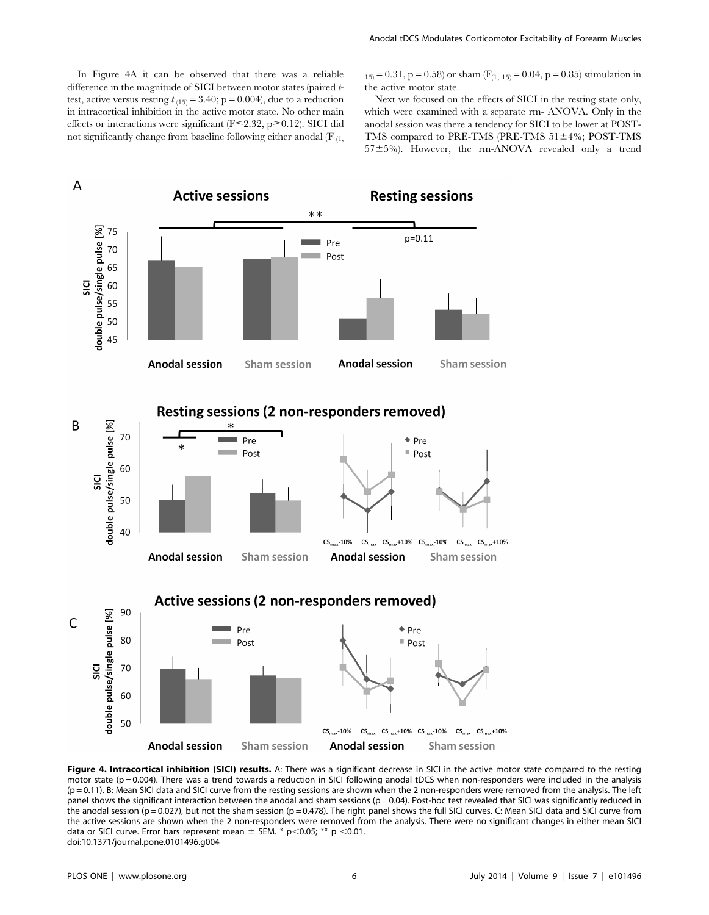In Figure 4A it can be observed that there was a reliable difference in the magnitude of SICI between motor states (paired ttest, active versus resting  $t_{(15)} = 3.40$ ; p = 0.004), due to a reduction in intracortical inhibition in the active motor state. No other main effects or interactions were significant ( $F \le 2.32$ ,  $p \ge 0.12$ ). SICI did not significantly change from baseline following either anodal  $(F_{(1)})$ 

 $_{15)}$  = 0.31, p = 0.58) or sham (F<sub>(1, 15)</sub> = 0.04, p = 0.85) stimulation in the active motor state.

Next we focused on the effects of SICI in the resting state only, which were examined with a separate rm- ANOVA. Only in the anodal session was there a tendency for SICI to be lower at POST-TMS compared to PRE-TMS (PRE-TMS  $51±4\%$ ; POST-TMS  $57±5%$ ). However, the rm-ANOVA revealed only a trend



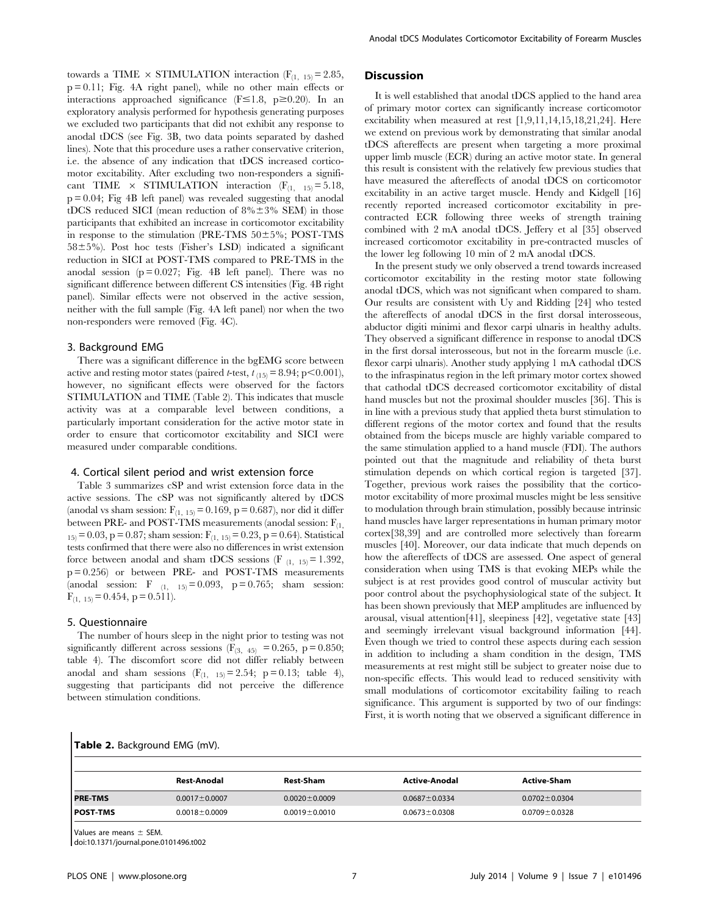towards a TIME  $\times$  STIMULATION interaction (F<sub>(1, 15)</sub> = 2.85, p = 0.11; Fig. 4A right panel), while no other main effects or interactions approached significance ( $F \le 1.8$ , p $\ge 0.20$ ). In an exploratory analysis performed for hypothesis generating purposes we excluded two participants that did not exhibit any response to anodal tDCS (see Fig. 3B, two data points separated by dashed lines). Note that this procedure uses a rather conservative criterion, i.e. the absence of any indication that tDCS increased corticomotor excitability. After excluding two non-responders a significant TIME  $\times$  STIMULATION interaction (F<sub>(1, 15)</sub> = 5.18,  $p = 0.04$ ; Fig 4B left panel) was revealed suggesting that anodal tDCS reduced SICI (mean reduction of  $8\% \pm 3\%$  SEM) in those participants that exhibited an increase in corticomotor excitability in response to the stimulation (PRE-TMS  $50\pm5\%$ ; POST-TMS  $58\pm5\%$ ). Post hoc tests (Fisher's LSD) indicated a significant reduction in SICI at POST-TMS compared to PRE-TMS in the anodal session ( $p = 0.027$ ; Fig. 4B left panel). There was no significant difference between different CS intensities (Fig. 4B right panel). Similar effects were not observed in the active session, neither with the full sample (Fig. 4A left panel) nor when the two non-responders were removed (Fig. 4C).

# 3. Background EMG

There was a significant difference in the bgEMG score between active and resting motor states (paired t-test,  $t_{(15)} = 8.94$ ; p $\leq 0.001$ ), however, no significant effects were observed for the factors STIMULATION and TIME (Table 2). This indicates that muscle activity was at a comparable level between conditions, a particularly important consideration for the active motor state in order to ensure that corticomotor excitability and SICI were measured under comparable conditions.

### 4. Cortical silent period and wrist extension force

Table 3 summarizes cSP and wrist extension force data in the active sessions. The cSP was not significantly altered by tDCS (anodal vs sham session:  $F_{(1, 15)} = 0.169$ , p = 0.687), nor did it differ between PRE- and POST-TMS measurements (anodal session:  $F_{(1)}$  $1_{15}$  = 0.03, p = 0.87; sham session:  $F_{(1, 15)}$  = 0.23, p = 0.64). Statistical tests confirmed that there were also no differences in wrist extension force between anodal and sham tDCS sessions (F  $_{(1, 15)} = 1.392$ , p = 0.256) or between PRE- and POST-TMS measurements (anodal session: F  $_{(1, 15)} = 0.093$ , p = 0.765; sham session:  $F_{(1, 15)} = 0.454$ , p = 0.511).

#### 5. Questionnaire

The number of hours sleep in the night prior to testing was not significantly different across sessions ( $F_{(3, 45)} = 0.265$ , p = 0.850; table 4). The discomfort score did not differ reliably between anodal and sham sessions  $(F_{(1, 15)} = 2.54; p = 0.13;$  table 4), suggesting that participants did not perceive the difference between stimulation conditions.

## **Discussion**

It is well established that anodal tDCS applied to the hand area of primary motor cortex can significantly increase corticomotor excitability when measured at rest [1,9,11,14,15,18,21,24]. Here we extend on previous work by demonstrating that similar anodal tDCS aftereffects are present when targeting a more proximal upper limb muscle (ECR) during an active motor state. In general this result is consistent with the relatively few previous studies that have measured the aftereffects of anodal tDCS on corticomotor excitability in an active target muscle. Hendy and Kidgell [16] recently reported increased corticomotor excitability in precontracted ECR following three weeks of strength training combined with 2 mA anodal tDCS. Jeffery et al [35] observed increased corticomotor excitability in pre-contracted muscles of the lower leg following 10 min of 2 mA anodal tDCS.

In the present study we only observed a trend towards increased corticomotor excitability in the resting motor state following anodal tDCS, which was not significant when compared to sham. Our results are consistent with Uy and Ridding [24] who tested the aftereffects of anodal tDCS in the first dorsal interosseous, abductor digiti minimi and flexor carpi ulnaris in healthy adults. They observed a significant difference in response to anodal tDCS in the first dorsal interosseous, but not in the forearm muscle (i.e. flexor carpi ulnaris). Another study applying 1 mA cathodal tDCS to the infraspinatus region in the left primary motor cortex showed that cathodal tDCS decreased corticomotor excitability of distal hand muscles but not the proximal shoulder muscles [36]. This is in line with a previous study that applied theta burst stimulation to different regions of the motor cortex and found that the results obtained from the biceps muscle are highly variable compared to the same stimulation applied to a hand muscle (FDI). The authors pointed out that the magnitude and reliability of theta burst stimulation depends on which cortical region is targeted [37]. Together, previous work raises the possibility that the corticomotor excitability of more proximal muscles might be less sensitive to modulation through brain stimulation, possibly because intrinsic hand muscles have larger representations in human primary motor cortex[38,39] and are controlled more selectively than forearm muscles [40]. Moreover, our data indicate that much depends on how the aftereffects of tDCS are assessed. One aspect of general consideration when using TMS is that evoking MEPs while the subject is at rest provides good control of muscular activity but poor control about the psychophysiological state of the subject. It has been shown previously that MEP amplitudes are influenced by arousal, visual attention[41], sleepiness [42], vegetative state [43] and seemingly irrelevant visual background information [44]. Even though we tried to control these aspects during each session in addition to including a sham condition in the design, TMS measurements at rest might still be subject to greater noise due to non-specific effects. This would lead to reduced sensitivity with small modulations of corticomotor excitability failing to reach significance. This argument is supported by two of our findings: First, it is worth noting that we observed a significant difference in

|  | Table 2. Background EMG (mV). |  |  |
|--|-------------------------------|--|--|
|--|-------------------------------|--|--|

|                  | Rest-Anodal         | <b>Rest-Sham</b>    | <b>Active-Anodal</b> | <b>Active-Sham</b>  |
|------------------|---------------------|---------------------|----------------------|---------------------|
| <b>IPRE-TMS</b>  | $0.0017 \pm 0.0007$ | $0.0020 \pm 0.0009$ | $0.0687 \pm 0.0334$  | $0.0702 \pm 0.0304$ |
| <b>IPOST-TMS</b> | $0.0018 \pm 0.0009$ | $0.0019 \pm 0.0010$ | $0.0673 \pm 0.0308$  | $0.0709 \pm 0.0328$ |

Values are means  $\pm$  SEM.

doi:10.1371/journal.pone.0101496.t002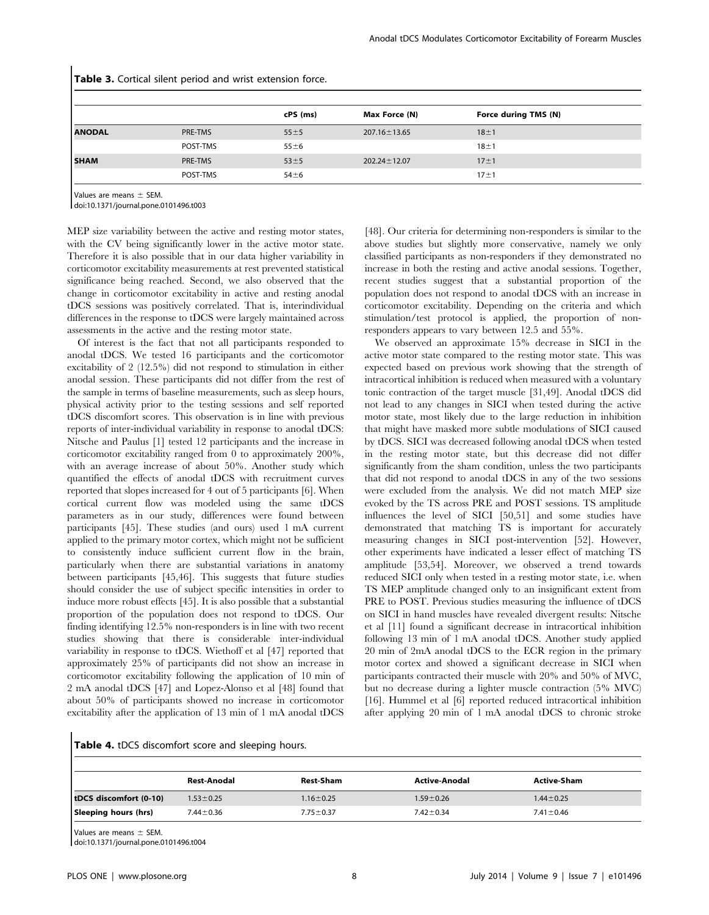|               |          | cPS (ms) | Max Force (N)      | Force during TMS (N) |  |
|---------------|----------|----------|--------------------|----------------------|--|
| <b>ANODAL</b> | PRE-TMS  | $55 + 5$ | $207.16 \pm 13.65$ | $18 + 1$             |  |
|               | POST-TMS | $55 + 6$ |                    | $18 \pm 1$           |  |
| <b>SHAM</b>   | PRE-TMS  | $53 + 5$ | $202.24 \pm 12.07$ | $17 + 1$             |  |
|               | POST-TMS | $54 + 6$ |                    | $17 + 1$             |  |

Table 3. Cortical silent period and wrist extension force.

Values are means  $\pm$  SEM.

doi:10.1371/journal.pone.0101496.t003

MEP size variability between the active and resting motor states, with the CV being significantly lower in the active motor state. Therefore it is also possible that in our data higher variability in corticomotor excitability measurements at rest prevented statistical significance being reached. Second, we also observed that the change in corticomotor excitability in active and resting anodal tDCS sessions was positively correlated. That is, interindividual differences in the response to tDCS were largely maintained across assessments in the active and the resting motor state.

Of interest is the fact that not all participants responded to anodal tDCS. We tested 16 participants and the corticomotor excitability of 2 (12.5%) did not respond to stimulation in either anodal session. These participants did not differ from the rest of the sample in terms of baseline measurements, such as sleep hours, physical activity prior to the testing sessions and self reported tDCS discomfort scores. This observation is in line with previous reports of inter-individual variability in response to anodal tDCS: Nitsche and Paulus [1] tested 12 participants and the increase in corticomotor excitability ranged from 0 to approximately 200%, with an average increase of about 50%. Another study which quantified the effects of anodal tDCS with recruitment curves reported that slopes increased for 4 out of 5 participants [6]. When cortical current flow was modeled using the same tDCS parameters as in our study, differences were found between participants [45]. These studies (and ours) used 1 mA current applied to the primary motor cortex, which might not be sufficient to consistently induce sufficient current flow in the brain, particularly when there are substantial variations in anatomy between participants [45,46]. This suggests that future studies should consider the use of subject specific intensities in order to induce more robust effects [45]. It is also possible that a substantial proportion of the population does not respond to tDCS. Our finding identifying 12.5% non-responders is in line with two recent studies showing that there is considerable inter-individual variability in response to tDCS. Wiethoff et al [47] reported that approximately 25% of participants did not show an increase in corticomotor excitability following the application of 10 min of 2 mA anodal tDCS [47] and Lopez-Alonso et al [48] found that about 50% of participants showed no increase in corticomotor excitability after the application of 13 min of 1 mA anodal tDCS

[48]. Our criteria for determining non-responders is similar to the above studies but slightly more conservative, namely we only classified participants as non-responders if they demonstrated no increase in both the resting and active anodal sessions. Together, recent studies suggest that a substantial proportion of the population does not respond to anodal tDCS with an increase in corticomotor excitability. Depending on the criteria and which stimulation/test protocol is applied, the proportion of nonresponders appears to vary between 12.5 and 55%.

We observed an approximate 15% decrease in SICI in the active motor state compared to the resting motor state. This was expected based on previous work showing that the strength of intracortical inhibition is reduced when measured with a voluntary tonic contraction of the target muscle [31,49]. Anodal tDCS did not lead to any changes in SICI when tested during the active motor state, most likely due to the large reduction in inhibition that might have masked more subtle modulations of SICI caused by tDCS. SICI was decreased following anodal tDCS when tested in the resting motor state, but this decrease did not differ significantly from the sham condition, unless the two participants that did not respond to anodal tDCS in any of the two sessions were excluded from the analysis. We did not match MEP size evoked by the TS across PRE and POST sessions. TS amplitude influences the level of SICI [50,51] and some studies have demonstrated that matching TS is important for accurately measuring changes in SICI post-intervention [52]. However, other experiments have indicated a lesser effect of matching TS amplitude [53,54]. Moreover, we observed a trend towards reduced SICI only when tested in a resting motor state, i.e. when TS MEP amplitude changed only to an insignificant extent from PRE to POST. Previous studies measuring the influence of tDCS on SICI in hand muscles have revealed divergent results: Nitsche et al [11] found a significant decrease in intracortical inhibition following 13 min of 1 mA anodal tDCS. Another study applied 20 min of 2mA anodal tDCS to the ECR region in the primary motor cortex and showed a significant decrease in SICI when participants contracted their muscle with 20% and 50% of MVC, but no decrease during a lighter muscle contraction (5% MVC) [16]. Hummel et al [6] reported reduced intracortical inhibition after applying 20 min of 1 mA anodal tDCS to chronic stroke

|  |  | Table 4. tDCS discomfort score and sleeping hours. |  |  |  |  |
|--|--|----------------------------------------------------|--|--|--|--|
|--|--|----------------------------------------------------|--|--|--|--|

|                        | Rest-Anodal     | <b>Rest-Sham</b> | <b>Active-Anodal</b> | <b>Active-Sham</b> |
|------------------------|-----------------|------------------|----------------------|--------------------|
| tDCS discomfort (0-10) | $1.53 \pm 0.25$ | $1.16 \pm 0.25$  | $1.59 \pm 0.26$      | $1.44 \pm 0.25$    |
| Sleeping hours (hrs)   | $7.44 \pm 0.36$ | $7.75 \pm 0.37$  | $7.42 \pm 0.34$      | $7.41 \pm 0.46$    |

Values are means  $\pm$  SEM.

doi:10.1371/journal.pone.0101496.t004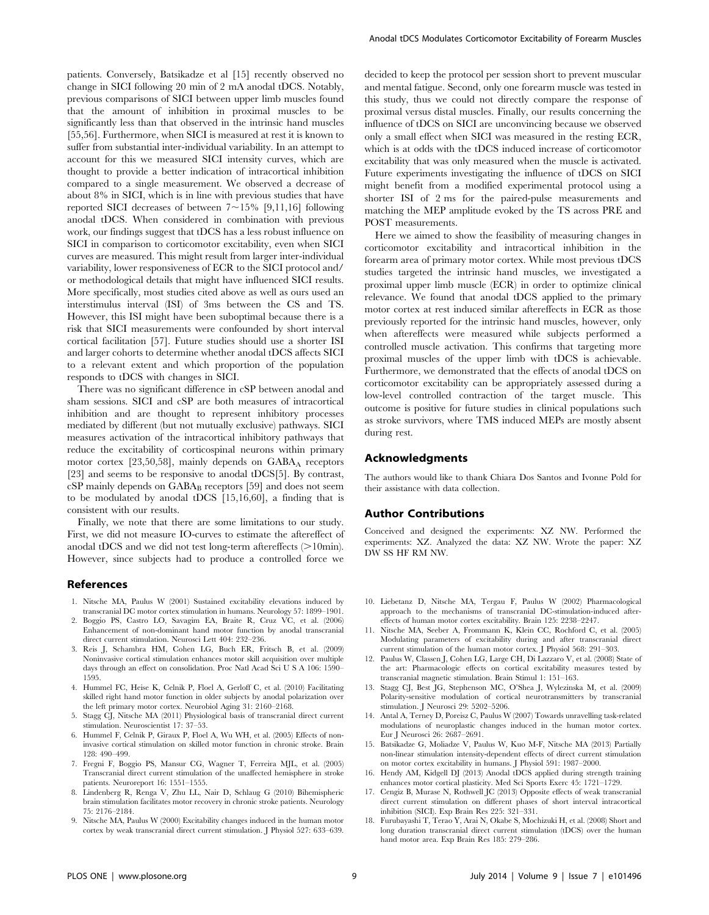patients. Conversely, Batsikadze et al [15] recently observed no change in SICI following 20 min of 2 mA anodal tDCS. Notably, previous comparisons of SICI between upper limb muscles found that the amount of inhibition in proximal muscles to be significantly less than that observed in the intrinsic hand muscles [55,56]. Furthermore, when SICI is measured at rest it is known to suffer from substantial inter-individual variability. In an attempt to account for this we measured SICI intensity curves, which are thought to provide a better indication of intracortical inhibition compared to a single measurement. We observed a decrease of about 8% in SICI, which is in line with previous studies that have reported SICI decreases of between  $7 \sim 15\%$  [9,11,16] following anodal tDCS. When considered in combination with previous work, our findings suggest that tDCS has a less robust influence on SICI in comparison to corticomotor excitability, even when SICI curves are measured. This might result from larger inter-individual variability, lower responsiveness of ECR to the SICI protocol and/ or methodological details that might have influenced SICI results. More specifically, most studies cited above as well as ours used an interstimulus interval (ISI) of 3ms between the CS and TS. However, this ISI might have been suboptimal because there is a risk that SICI measurements were confounded by short interval cortical facilitation [57]. Future studies should use a shorter ISI and larger cohorts to determine whether anodal tDCS affects SICI to a relevant extent and which proportion of the population responds to tDCS with changes in SICI.

There was no significant difference in cSP between anodal and sham sessions. SICI and cSP are both measures of intracortical inhibition and are thought to represent inhibitory processes mediated by different (but not mutually exclusive) pathways. SICI measures activation of the intracortical inhibitory pathways that reduce the excitability of corticospinal neurons within primary motor cortex  $[23,50,58]$ , mainly depends on  $GABA_A$  receptors [23] and seems to be responsive to anodal tDCS[5]. By contrast, cSP mainly depends on GABA<sub>B</sub> receptors [59] and does not seem to be modulated by anodal tDCS [15,16,60], a finding that is consistent with our results.

Finally, we note that there are some limitations to our study. First, we did not measure IO-curves to estimate the aftereffect of anodal tDCS and we did not test long-term after effects  $(>10$ min). However, since subjects had to produce a controlled force we

#### References

- 1. Nitsche MA, Paulus W (2001) Sustained excitability elevations induced by transcranial DC motor cortex stimulation in humans. Neurology 57: 1899–1901.
- 2. Boggio PS, Castro LO, Savagim EA, Braite R, Cruz VC, et al. (2006) Enhancement of non-dominant hand motor function by anodal transcranial direct current stimulation. Neurosci Lett 404: 232–236.
- 3. Reis J, Schambra HM, Cohen LG, Buch ER, Fritsch B, et al. (2009) Noninvasive cortical stimulation enhances motor skill acquisition over multiple days through an effect on consolidation. Proc Natl Acad Sci U S A 106: 1590– 1595.
- 4. Hummel FC, Heise K, Celnik P, Floel A, Gerloff C, et al. (2010) Facilitating skilled right hand motor function in older subjects by anodal polarization over the left primary motor cortex. Neurobiol Aging 31: 2160–2168.
- 5. Stagg CJ, Nitsche MA (2011) Physiological basis of transcranial direct current stimulation. Neuroscientist 17: 37–53.
- 6. Hummel F, Celnik P, Giraux P, Floel A, Wu WH, et al. (2005) Effects of noninvasive cortical stimulation on skilled motor function in chronic stroke. Brain 128: 490–499.
- 7. Fregni F, Boggio PS, Mansur CG, Wagner T, Ferreira MJL, et al. (2005) Transcranial direct current stimulation of the unaffected hemisphere in stroke patients. Neuroreport 16: 1551–1555.
- 8. Lindenberg R, Renga V, Zhu LL, Nair D, Schlaug G (2010) Bihemispheric brain stimulation facilitates motor recovery in chronic stroke patients. Neurology 75: 2176–2184.
- 9. Nitsche MA, Paulus W (2000) Excitability changes induced in the human motor cortex by weak transcranial direct current stimulation. J Physiol 527: 633–639.

decided to keep the protocol per session short to prevent muscular and mental fatigue. Second, only one forearm muscle was tested in this study, thus we could not directly compare the response of proximal versus distal muscles. Finally, our results concerning the influence of tDCS on SICI are unconvincing because we observed only a small effect when SICI was measured in the resting ECR, which is at odds with the tDCS induced increase of corticomotor excitability that was only measured when the muscle is activated. Future experiments investigating the influence of tDCS on SICI might benefit from a modified experimental protocol using a shorter ISI of 2 ms for the paired-pulse measurements and matching the MEP amplitude evoked by the TS across PRE and POST measurements.

Here we aimed to show the feasibility of measuring changes in corticomotor excitability and intracortical inhibition in the forearm area of primary motor cortex. While most previous tDCS studies targeted the intrinsic hand muscles, we investigated a proximal upper limb muscle (ECR) in order to optimize clinical relevance. We found that anodal tDCS applied to the primary motor cortex at rest induced similar aftereffects in ECR as those previously reported for the intrinsic hand muscles, however, only when aftereffects were measured while subjects performed a controlled muscle activation. This confirms that targeting more proximal muscles of the upper limb with tDCS is achievable. Furthermore, we demonstrated that the effects of anodal tDCS on corticomotor excitability can be appropriately assessed during a low-level controlled contraction of the target muscle. This outcome is positive for future studies in clinical populations such as stroke survivors, where TMS induced MEPs are mostly absent during rest.

### Acknowledgments

The authors would like to thank Chiara Dos Santos and Ivonne Pold for their assistance with data collection.

#### Author Contributions

Conceived and designed the experiments: XZ NW. Performed the experiments: XZ. Analyzed the data: XZ NW. Wrote the paper: XZ DW SS HF RM NW.

- 10. Liebetanz D, Nitsche MA, Tergau F, Paulus W (2002) Pharmacological approach to the mechanisms of transcranial DC-stimulation-induced aftereffects of human motor cortex excitability. Brain 125: 2238–2247.
- 11. Nitsche MA, Seeber A, Frommann K, Klein CC, Rochford C, et al. (2005) Modulating parameters of excitability during and after transcranial direct current stimulation of the human motor cortex. J Physiol 568: 291–303.
- 12. Paulus W, Classen J, Cohen LG, Large CH, Di Lazzaro V, et al. (2008) State of the art: Pharmacologic effects on cortical excitability measures tested by transcranial magnetic stimulation. Brain Stimul 1: 151–163.
- 13. Stagg CJ, Best JG, Stephenson MC, O'Shea J, Wylezinska M, et al. (2009) Polarity-sensitive modulation of cortical neurotransmitters by transcranial stimulation. J Neurosci 29: 5202–5206.
- 14. Antal A, Terney D, Poreisz C, Paulus W (2007) Towards unravelling task-related modulations of neuroplastic changes induced in the human motor cortex. Eur J Neurosci 26: 2687–2691.
- 15. Batsikadze G, Moliadze V, Paulus W, Kuo M-F, Nitsche MA (2013) Partially non-linear stimulation intensity-dependent effects of direct current stimulation on motor cortex excitability in humans. J Physiol 591: 1987–2000.
- 16. Hendy AM, Kidgell DJ (2013) Anodal tDCS applied during strength training enhances motor cortical plasticity. Med Sci Sports Exerc 45: 1721–1729.
- 17. Cengiz B, Murase N, Rothwell JC (2013) Opposite effects of weak transcranial direct current stimulation on different phases of short interval intracortical inhibition (SICI). Exp Brain Res 225: 321–331.
- 18. Furubayashi T, Terao Y, Arai N, Okabe S, Mochizuki H, et al. (2008) Short and long duration transcranial direct current stimulation (tDCS) over the human hand motor area. Exp Brain Res 185: 279–286.